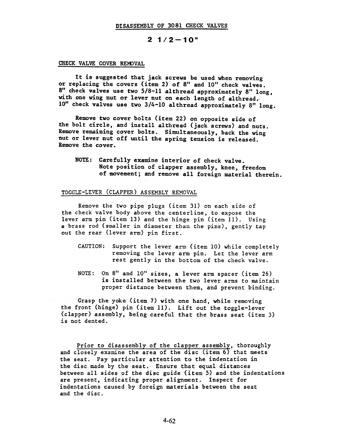# $2 \frac{1}{2} - 10$ "

#### CHECK VALVE COVER REMOVAL

It is suggested that jack screws be used when removing or replacing the covers (item 2) of 8" and 10" check valves.  $8"$  check valves use two  $5/8$ -11 althread approximately  $8"$  long, with one wing nut or lever nut on each length of althread. 10" check valves use two 3/4-10 althread approximately 8" long.

Remove two cover bolts (item 22) on opposite side of the bolt circle, and install althread (jack screws) and nuts. Remove remaining cover bolts. Simultaneously, back the wing nut or lever nut off until the spring tension is released. Remove the cover.

NOTE: Carefully examine interior of check valve. Note position of clapper assembly, knee, freedom of movement; and remove all foreign material therein.

## TOGGLE-LEVER (CLAPPER) ASSEMBLY REMOVAL

Remove the two pipe plugs (item 31) on each side of the check valve body above the centerline, to expose the lever arm pin (item 13) and the hinge pin (item II). Using a brass rod (smaller in diameter than the pins), gently tap out the rear (lever arm) pin first.

- CAUTION: Support the lever arm (item I0) while completely removing the lever arm pin. Let the lever arm rest gently in the bottom of the check valve.
- NOTE: On 8" and 10" sizes, a lever arm spacer (item 26) is installed between the two lever, arms to maintain proper distance between them, and prevent binding.

Grasp the yoke (item 7) with one hand, while removing the front (hinge) pin (item II). Lift out the toggle-lever (clapper) assembly, being careful that the brass seat (item 3) is not dented.

Prior to disassembly of the clapper assembly, thoroughly and closely examine the area of the disc (item 6) that meets the seat. Pay particular attention to the indentation in the disc made by the seat. Ensure that equal distances between all sides of the disc guide (item 5) and the indentations are present, indicating proper alignment. Inspect for indentations caused by foreign materials between the seat and the disc.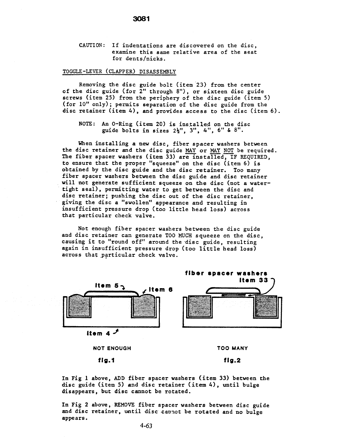CAUTION: If indentations are discovered on the disc, examine this same relative area of the seat for dents/nicks.

# TOGGLE-LEVER (CLAPPER) DISASSEMBLY

Removing the disc guide bolt (item 23) from the center of the disc guide (for 2" through 8"), or sixteen disc guide screws (item 25) from the periphery of the disc guide (item 5) (for i0" only); permits separation of the disc guide from the disc retainer (item 4), and provides access to the disc (item 6).

NOTE: An O-Ring (item 20) is installed on the disc guide bolts in sizes  $2\frac{1}{2}$ ", 3", 4", 6" & 8".

When installing a new disc, fiber spacer washers between the disc retainer and the disc guide MAY or MAY NOT be required. The fiber spacer washers (item 33) are installed, IF REQUIRED, to ensure that the proper "squeeze" on the disc (item 6) is obtained by the disc guide and the disc retainer. Too many fiber spacer washers between the disc guide and disc retainer will not generate sufficient squeeze on the disc (not a watertight seal), permitting water to get between the disc and disc retainer; pushing the disc out of the disc retainer, giving the disc a "swollen" appearance and resulting in insufficient pressure drop (too little head loss) across that particular check valve.

Not enough fiber spacer washers between the disc guide and disc retainer can generate TOO MUCH squeeze on the disc, causing it to "round off" aroumd the disc guide, resulting again in insufficient pressure drop (too little head loss) across that particular check valve.



In Fig 1 above, ADD fiber spacer washers (item 33) between the disc guide (item 5) and disc retainer (item4), until bulge disappears, but disc cannot be rotated.

In Fig 2 above, REMOVE fiber spacer washers between disc guide and disc retainer, until disc cannot be rotated and no bulge appears.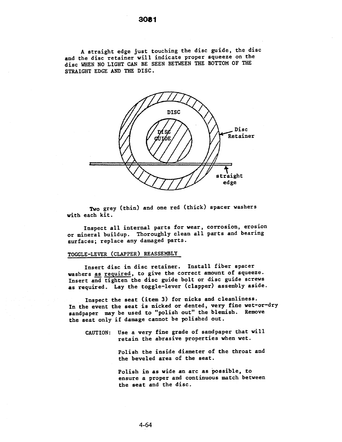A straight edge just touching the disc guide, the disc and the disc retainer will indicate proper squeeze on the disc WHEN NO LIGHT CAN BE SEEN BETWEEN THE BOTTOM OF THE STRAIGHT EDGE AND THE DISC.



Two grey (thin) and one red (thick) spacer washers with each kit.

Inspect all internal parts for wear, corrosion, erosion or mineral buildup. Thoroughly clean all parts and bearing surfaces; replace any damaged parts.

## TOGGLE-LEVER (CLAPPER) REASSEMBLY

Insert disc in disc retainer. Install fiber spacer washers as required, to give the correct amount of squeeze. Insert and tighten the disc guide bolt or disc guide screws as required. Lay the toggle-lever (clapper) assembly aside.

Inspect the seat (item 3) for nicks and cleanliness. In the event the seat is nicked or dented, very fine wet-or-dry sandpaper may be used to "polish out" the blemish. Remove the seat only if damage cannot be polished out.

CAUTION: Use a very fine grade of sandpaper that will retain the abrasive properties when wet.

> Polish the inside diameter of the throat and the beveled area of the seat.

> Polish in as wide an arc as possible, to ensure a proper and continuous match between the seat and the disc.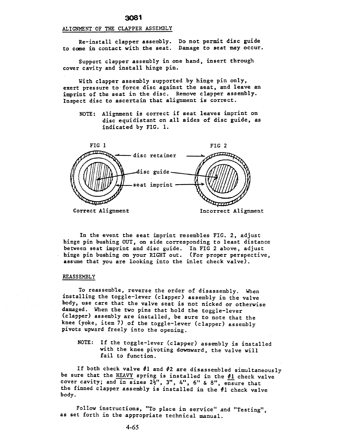#### ALIGNMENT"OF THE CLAPPER ASSEMBLY

3081

Re-install clapper assembly. Do not permit disc guide to come in contact with the seat. Damage to seat may occur.

Support clapper assembly in one hand, insert through cover cavity and install hinge pin.

With clapper assembly supported by hinge pin only, exert pressure to force disc against the seat, and leave an imprint of the seat in the disc. Remove clapper assembly. Inspect disc to ascertain that alignment is correct.

NOTE: Alignment is correct if seat leaves imprint on disc equidistant on all sides of disc guide, as indicated by FIG. i.



In the event the seat imprint resembles FIG. 2, adjust hinge pin bushing OUT, on side corresponding to least distance between seat imprint and disc guide. In FIG 2 above, adjust hinge pin bushing on your RIGHT out. (For proper perspective, assume that you are looking into the inlet check valve).

#### REASSEMBLY

To reassemble, reverse the order of disassembly. When installing the toggle-lever (clapper) assembly in the valve body, use care that the valve seat is not nicked or otherwise damaged. When the two pins that hold the toggle-lever (clapper) assembly are installed, be sure to note that the knee (yoke, item 7) of the toggle-lever (clapper) assembly pivots upward freely into the opening.

NOTE: If the toggle-lever (clapper) assembly is installed with the knee pivoting downward, the valve will fail to function.

If both check valve #I and #2 are disassembled simultaneously be sure that the HEAVY spring is installed in the  $\frac{1}{2}$  check valve cover cavity; and in sizes  $2\frac{1}{2}$ ", 3", 4", 6" & 8", ensure that the finned clapper assembly is installed in the #i check valve body.

Follow instructions, "To place in service" and "Testing", as set forth in the appropriate technical manual.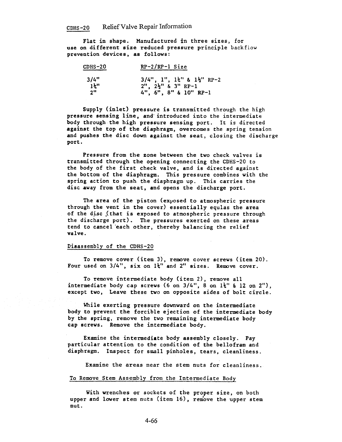Flat in shape. Manufactured in three sizes, for use on different size reduced pressure principle backfiow prevention devices, as follows:

| $CDHS-20$     | $RP-2/RP-1$ Size                                         |
|---------------|----------------------------------------------------------|
| 3/4"          | $3/4$ ", $1$ ", $1\frac{1}{2}$ " & $1\frac{1}{2}$ " RP-2 |
| $1\ddagger$ " | $2''$ , $2\frac{1}{2}''$ & $3''$ RP-1                    |
| 2"            | $4$ ", $6$ ", $8$ " & $10$ " RP-1                        |

Supply (inlet) pressure is transmitted through the high pressure sensing line, and introduced into the intermediate body through the high pressure sensing port. It is directed against the top of the diaphragm, overcomes the spring tension and pushes the disc down against the seat, closing the discharge port.

Pressure from the zone between the two check valves is transmitted through the opening connecting the CDHS-20 to the body of the first check valve, and is directed against the bottom of the diaphragm. This pressure combines with the spring action to push the diaphragm up. This carries the disc away from the seat, and opens the discharge port.

The area of the piston (exposed to atmospheric pressure through the vent in the cover) essentially equlas the area of the disc (that is exposed to atmospheric pressure through the discharge port). The pressures exerted on these areas tend to cancel'each other, thereby balancing the relief valve.

#### Disassembly of the CDHS-20

To remove cover (item 3), remove cover screws (item 20). Four used on  $3/4$ ", six on  $1\frac{1}{4}$ " and 2" sizes. Remove cover.

To remove intermediate body (item 2), remove all intermediate body cap screws (6 on  $3/4"$ , 8 on  $1\frac{1}{4}$ " & 12 on  $2"$ ), except two, Leave these two on opposite sides of bolt circle.

While exerting pressure downward on the intermediate body to prevent the forcible ejection of the intermediate body by the spring, remove the two remaining intermediate body cap screws. Remove the intermediate body.

Examine the intermediate body assembly closely. Pay particular attention to the condition of the bellofram and diaphragm. Inspect for small pinholes, tears, cleanliness.

Examine the areas near the stem nuts for cleanliness.

## To Remove Stem Assembly from the Intermediate Body

With wrenches or sockets of the proper size, on both upper and lower stem nuts (item 16), remove the upper stem nut.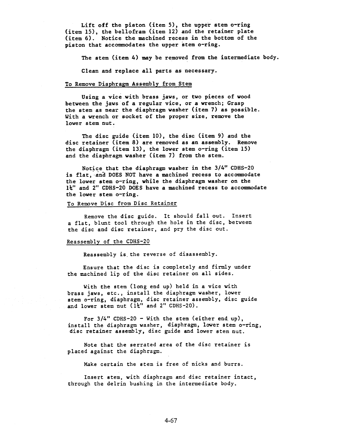Lift off the piston (item 5), the upper stem o-ring (item 15), the bellofram (item 12) and the retainer plate (item 6). Notice the machined recess in the bottom of the piston that accommodates the upper stem o-ring.

The stem (item 4) may be removed from the intermediate body.

Clean and replace all parts as necessary.

## To Remove Diaphragm Assembly from Stem

Using a vice with brass jaws, or two pieces of wood between the jaws of a regular vice, or a wrench; Grasp the stem as near the diaphragm washer (item 7) as possible. With a wrench or socket of the proper size, remove the lower stem nut.

The disc guide (item I0), the disc (item 9) and the disc retainer (item 8) are removed as an assembly. Remove the diaphragm (item 13), the lower stem o-ring (item 15) and the diaphragm washer (item 7) from the stem.

Notice that the diaphragm washer in the 3/4" CDHS-20 is flat, and DOES NOT have a machined recess to accommodate the lower stem o-ring, while the diaphragm washer on the  $1\frac{1}{2}$ " and 2" CDHS-20 DOES have a machined recess to accommodate the lower stem o-ring.

## To Remove Disc from Disc Retainer

Remove the disc guide. It should fall out. Insert a flat, blunt tool through the hole in the disc, between the disc and disc retainer, and pry the disc out.

#### Reassembly of the CDHS-20

Reassembly is. the reverse of disassembly.

Ensure that the disc is completely and firmly under the machined lip of the disc retainer on all sides.

With the stem (long end up) held in a vice with brass jaws, etc., install the diaphragm washer, lower stem o-ring, diaphragm, disc retainer assembly, disc guide and lower stem nut  $(1\text{\texttt{k}}''$  and 2" CDHS-20).

For  $3/4$ " CDHS-20 - With the stem (either end up), install the diaphragm washer, diaphragm, lower stem o-ring, disc retainer assembly, disc guide and lower stem nut.

Note that the serrated area of the disc retainer is placed against the diaphragm.

Make certain the stem is free of nicks and burrs.

Insert stem, with diaphragm and disc retainer intact, through the delrin bushing in the intermediate body.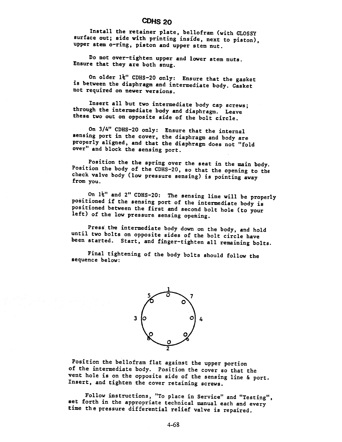# CDHS 20

Install the retainer plate, bellofram (with GLOSSY surface out; side with printing inside, next to piston), upper stem o-ring, piston and upper stem nut.

Do not over-tighten upper and lower stem nuts. Ensure that they are both snug.

On older  $1\overline{\star}$ " CDHS-20 only: Ensure that the gasket is between the diaphragm and intermediate body. Gasket not required on newer versions.

Insert all but two intermediate body cap screws;<br>through the intermediate body and diaphragm. Leave these two out on opposite side of the bolt circle.

On 3/4" CDHS-20 only: Ensure that the internal sensing port in the cover, the diaphragm and body are properly aligned, and that the diaphragm does not "fold over" and block the sensing port.

Position the the spring over the seat in the main body. Position the body of the CDHS-20, so that the opening to the check valve body (low pressure sensing) is pointing away from you.

On 1%" and 2" CDHS-20: The sensing line will be properly positioned if the sensing port of the intermediate body is positioned between the first and second bolt hole (to your left) of the low pressure sensing opening.

Press the intermediate body down on the body, and hold until two bolts on opposite sides of the bolt circle have been started. Start, and finger-tighten all remaining bolts.

Final tightening of the body bolts should follow the sequence below:



Position the bellofram flat against the upper portion of the intermediate body. Position the cover so that the vent hole is on the opposite side of the sensing line & port. Insert, and tighten the cover retaining screws.

Follow instructions, "To place in Service" and "Testing", set forth in the appropriate technical manual each and every time the pressure differential relief valve is repaired.